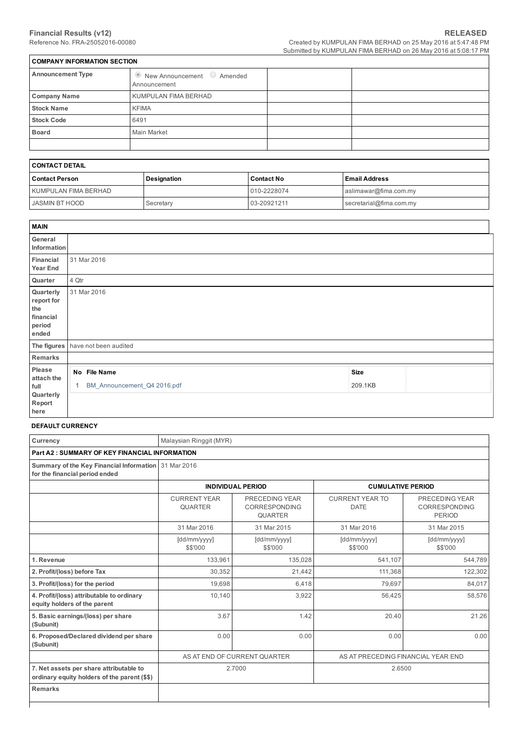┑

| <b>COMPANY INFORMATION SECTION</b>                           |  |  |  |  |  |  |  |
|--------------------------------------------------------------|--|--|--|--|--|--|--|
| $\bullet$ New Announcement $\bullet$ Amended<br>Announcement |  |  |  |  |  |  |  |
| KUMPULAN FIMA BERHAD                                         |  |  |  |  |  |  |  |
| <b>KFIMA</b>                                                 |  |  |  |  |  |  |  |
| 6491                                                         |  |  |  |  |  |  |  |
| <b>Main Market</b>                                           |  |  |  |  |  |  |  |
|                                                              |  |  |  |  |  |  |  |
|                                                              |  |  |  |  |  |  |  |

# CONTACT DETAIL

| Contact Person        | <b>Designation</b> | <b>Contact No</b> | l Email Address         |  |  |  |  |  |
|-----------------------|--------------------|-------------------|-------------------------|--|--|--|--|--|
| KUMPULAN FIMA BERHAD  |                    | 010-2228074       | aslimawar@fima.com.my   |  |  |  |  |  |
| <b>JASMIN BT HOOD</b> | Secretary          | 03-20921211       | secretarial@fima.com.my |  |  |  |  |  |

| <b>MAIN</b>                                                    |       |                                             |                        |  |
|----------------------------------------------------------------|-------|---------------------------------------------|------------------------|--|
| General<br>Information                                         |       |                                             |                        |  |
| Financial<br>Year End                                          |       | 31 Mar 2016                                 |                        |  |
| Quarter                                                        | 4 Qtr |                                             |                        |  |
| Quarterly<br>report for<br>the<br>financial<br>period<br>ended |       | 31 Mar 2016                                 |                        |  |
|                                                                |       | The figures have not been audited           |                        |  |
| Remarks                                                        |       |                                             |                        |  |
| Please<br>attach the<br>full<br>Quarterly                      |       | No File Name<br>BM_Announcement_Q4 2016.pdf | <b>Size</b><br>209.1KB |  |
| Report<br>here                                                 |       |                                             |                        |  |

#### DEFAULT CURRENCY

| Currency                                                                                | Malaysian Ringgit (MYR)                                                                    |                                                      |                                       |                                                         |  |  |  |  |  |
|-----------------------------------------------------------------------------------------|--------------------------------------------------------------------------------------------|------------------------------------------------------|---------------------------------------|---------------------------------------------------------|--|--|--|--|--|
| <b>Part A2: SUMMARY OF KEY FINANCIAL INFORMATION</b>                                    |                                                                                            |                                                      |                                       |                                                         |  |  |  |  |  |
| Summary of the Key Financial Information 31 Mar 2016<br>for the financial period ended  |                                                                                            |                                                      |                                       |                                                         |  |  |  |  |  |
|                                                                                         |                                                                                            | <b>INDIVIDUAL PERIOD</b><br><b>CUMULATIVE PERIOD</b> |                                       |                                                         |  |  |  |  |  |
|                                                                                         | <b>CURRENT YEAR</b><br>PRECEDING YEAR<br>QUARTER<br><b>CORRESPONDING</b><br><b>QUARTER</b> |                                                      | <b>CURRENT YEAR TO</b><br><b>DATE</b> | PRECEDING YEAR<br><b>CORRESPONDING</b><br><b>PERIOD</b> |  |  |  |  |  |
|                                                                                         | 31 Mar 2016                                                                                | 31 Mar 2015                                          | 31 Mar 2016                           | 31 Mar 2015                                             |  |  |  |  |  |
|                                                                                         | [dd/mm/yyyy]<br>\$\$'000                                                                   | [dd/mm/yyyy]<br>\$\$'000                             | [dd/mm/yyyy]<br>\$\$'000              | [dd/mm/yyyy]<br>\$\$'000                                |  |  |  |  |  |
| 1. Revenue                                                                              | 133,961                                                                                    | 135,028                                              | 541,107                               | 544,789                                                 |  |  |  |  |  |
| 2. Profit/(loss) before Tax                                                             | 30,352                                                                                     | 21,442                                               | 111,368                               | 122,302                                                 |  |  |  |  |  |
| 3. Profit/(loss) for the period                                                         | 19,698                                                                                     | 6,418                                                | 79,697                                | 84,017                                                  |  |  |  |  |  |
| 4. Profit/(loss) attributable to ordinary<br>equity holders of the parent               | 10,140                                                                                     | 3,922                                                | 56,425                                | 58,576                                                  |  |  |  |  |  |
| 5. Basic earnings/(loss) per share<br>(Subunit)                                         | 3.67                                                                                       | 1.42                                                 | 20.40                                 | 21.26                                                   |  |  |  |  |  |
| 6. Proposed/Declared dividend per share<br>(Subunit)                                    | 0.00                                                                                       | 0.00                                                 | 0.00                                  | 0.00                                                    |  |  |  |  |  |
|                                                                                         | AS AT PRECEDING FINANCIAL YEAR END<br>AS AT END OF CURRENT QUARTER                         |                                                      |                                       |                                                         |  |  |  |  |  |
| 7. Net assets per share attributable to<br>ordinary equity holders of the parent (\$\$) |                                                                                            | 2.7000                                               | 2.6500                                |                                                         |  |  |  |  |  |
| <b>Remarks</b>                                                                          |                                                                                            |                                                      |                                       |                                                         |  |  |  |  |  |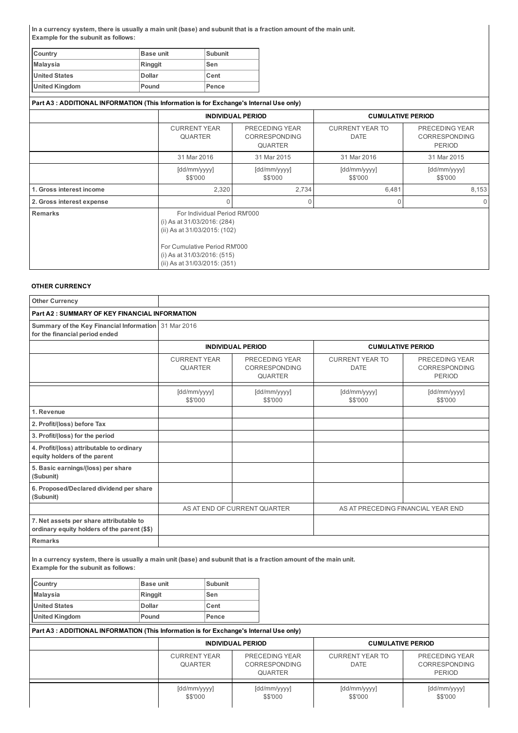In a currency system, there is usually a main unit (base) and subunit that is a fraction amount of the main unit. Example for the subunit as follows:

| Country              | <b>Base unit</b> | Subunit     |
|----------------------|------------------|-------------|
| Malaysia             | Ringgit          | Sen         |
| <b>United States</b> | Dollar           | <b>Cent</b> |
| United Kingdom       | Pound            | Pence       |

| Part A3: ADDITIONAL INFORMATION (This Information is for Exchange's Internal Use only) |                                                                                                                                                                                               |                                                          |                                       |                                                         |  |
|----------------------------------------------------------------------------------------|-----------------------------------------------------------------------------------------------------------------------------------------------------------------------------------------------|----------------------------------------------------------|---------------------------------------|---------------------------------------------------------|--|
|                                                                                        |                                                                                                                                                                                               | <b>INDIVIDUAL PERIOD</b>                                 | <b>CUMULATIVE PERIOD</b>              |                                                         |  |
|                                                                                        | <b>CURRENT YEAR</b><br><b>QUARTER</b>                                                                                                                                                         | PRECEDING YEAR<br><b>CORRESPONDING</b><br><b>QUARTER</b> | <b>CURRENT YEAR TO</b><br><b>DATE</b> | PRECEDING YEAR<br><b>CORRESPONDING</b><br><b>PERIOD</b> |  |
|                                                                                        | 31 Mar 2016                                                                                                                                                                                   | 31 Mar 2015                                              |                                       | 31 Mar 2015                                             |  |
|                                                                                        | [dd/mm/yyyy]<br>\$\$'000                                                                                                                                                                      | [dd/mm/yyyy]<br>\$\$'000                                 | [dd/mm/yyyy]<br>\$\$'000              | [dd/mm/yyyy]<br>\$\$'000                                |  |
| 1. Gross interest income                                                               | 2,320                                                                                                                                                                                         | 2,734                                                    | 6,481                                 | 8,153                                                   |  |
| 2. Gross interest expense                                                              | 0                                                                                                                                                                                             | 0                                                        | 0                                     | $\Omega$                                                |  |
| <b>Remarks</b>                                                                         | For Individual Period RM'000<br>(i) As at 31/03/2016: (284)<br>(ii) As at 31/03/2015: (102)<br>For Cumulative Period RM'000<br>(i) As at $31/03/2016$ : (515)<br>(ii) As at 31/03/2015: (351) |                                                          |                                       |                                                         |  |

### OTHER CURRENCY

| <b>Other Currency</b>                                                                                                                                    |                          |                                                                                                   |                          |                          |                                                          |                                                         |                                                         |
|----------------------------------------------------------------------------------------------------------------------------------------------------------|--------------------------|---------------------------------------------------------------------------------------------------|--------------------------|--------------------------|----------------------------------------------------------|---------------------------------------------------------|---------------------------------------------------------|
| <b>Part A2: SUMMARY OF KEY FINANCIAL INFORMATION</b>                                                                                                     |                          |                                                                                                   |                          |                          |                                                          |                                                         |                                                         |
| Summary of the Key Financial Information<br>for the financial period ended                                                                               |                          | 31 Mar 2016                                                                                       |                          |                          |                                                          |                                                         |                                                         |
|                                                                                                                                                          |                          |                                                                                                   | <b>INDIVIDUAL PERIOD</b> |                          |                                                          | <b>CUMULATIVE PERIOD</b>                                |                                                         |
|                                                                                                                                                          |                          | <b>CURRENT YEAR</b><br>PRECEDING YEAR<br><b>QUARTER</b><br><b>CORRESPONDING</b><br><b>QUARTER</b> |                          |                          | <b>CURRENT YEAR TO</b><br><b>DATE</b>                    | PRECEDING YEAR<br><b>CORRESPONDING</b><br><b>PERIOD</b> |                                                         |
|                                                                                                                                                          |                          | [dd/mm/yyyy]<br>\$\$'000                                                                          |                          |                          | [dd/mm/yyyy]<br>\$\$'000                                 | [dd/mm/yyyy]<br>\$\$'000                                | [dd/mm/yyyy]<br>\$\$'000                                |
| 1. Revenue                                                                                                                                               |                          |                                                                                                   |                          |                          |                                                          |                                                         |                                                         |
| 2. Profit/(loss) before Tax                                                                                                                              |                          |                                                                                                   |                          |                          |                                                          |                                                         |                                                         |
| 3. Profit/(loss) for the period                                                                                                                          |                          |                                                                                                   |                          |                          |                                                          |                                                         |                                                         |
| 4. Profit/(loss) attributable to ordinary<br>equity holders of the parent                                                                                |                          |                                                                                                   |                          |                          |                                                          |                                                         |                                                         |
| 5. Basic earnings/(loss) per share<br>(Subunit)                                                                                                          |                          |                                                                                                   |                          |                          |                                                          |                                                         |                                                         |
| 6. Proposed/Declared dividend per share<br>(Subunit)                                                                                                     |                          |                                                                                                   |                          |                          |                                                          |                                                         |                                                         |
|                                                                                                                                                          |                          |                                                                                                   |                          |                          | AS AT END OF CURRENT QUARTER                             | AS AT PRECEDING FINANCIAL YEAR END                      |                                                         |
| 7. Net assets per share attributable to<br>ordinary equity holders of the parent (\$\$)                                                                  |                          |                                                                                                   |                          |                          |                                                          |                                                         |                                                         |
| <b>Remarks</b>                                                                                                                                           |                          |                                                                                                   |                          |                          |                                                          |                                                         |                                                         |
| In a currency system, there is usually a main unit (base) and subunit that is a fraction amount of the main unit.<br>Example for the subunit as follows: |                          |                                                                                                   |                          |                          |                                                          |                                                         |                                                         |
| Country                                                                                                                                                  | <b>Base unit</b>         |                                                                                                   | <b>Subunit</b>           |                          |                                                          |                                                         |                                                         |
| <b>Malaysia</b><br><b>United States</b>                                                                                                                  | Ringgit<br><b>Dollar</b> |                                                                                                   | Sen<br>Cent              |                          |                                                          |                                                         |                                                         |
| <b>United Kingdom</b>                                                                                                                                    | Pound                    |                                                                                                   | Pence                    |                          |                                                          |                                                         |                                                         |
| Part A3 : ADDITIONAL INFORMATION (This Information is for Exchange's Internal Use only)                                                                  |                          |                                                                                                   |                          |                          |                                                          |                                                         |                                                         |
|                                                                                                                                                          |                          | <b>INDIVIDUAL PERIOD</b>                                                                          |                          |                          |                                                          | <b>CUMULATIVE PERIOD</b>                                |                                                         |
|                                                                                                                                                          |                          | <b>CURRENT YEAR</b><br><b>QUARTER</b>                                                             |                          |                          | PRECEDING YEAR<br><b>CORRESPONDING</b><br><b>QUARTER</b> | <b>CURRENT YEAR TO</b><br><b>DATE</b>                   | PRECEDING YEAR<br><b>CORRESPONDING</b><br><b>PERIOD</b> |
|                                                                                                                                                          |                          | [dd/mm/yyyy]<br>\$\$'000                                                                          |                          | [dd/mm/yyyy]<br>\$\$'000 | [dd/mm/yyyy]<br>\$\$'000                                 | [dd/mm/yyyy]<br>\$\$'000                                |                                                         |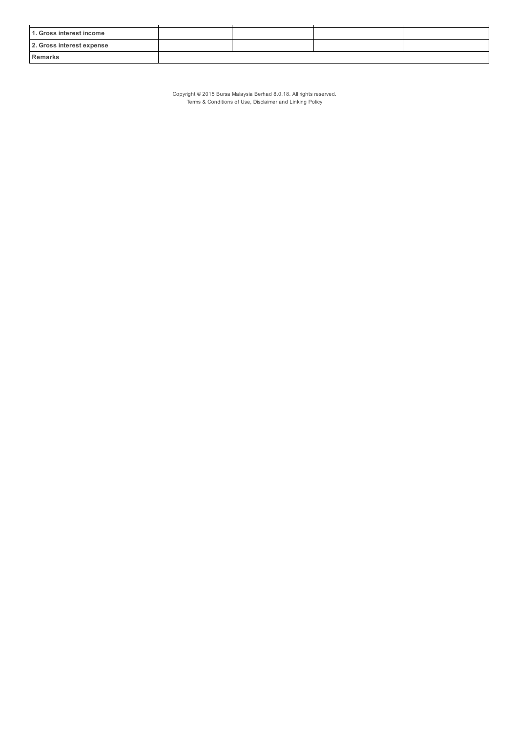| 1. Gross interest income  |  |  |
|---------------------------|--|--|
| 2. Gross interest expense |  |  |
| <b>Remarks</b>            |  |  |

Copyright © 2015 Bursa Malaysia Berhad 8.0.18. All rights reserved. Terms & Conditions of Use, Disclaimer and Linking Policy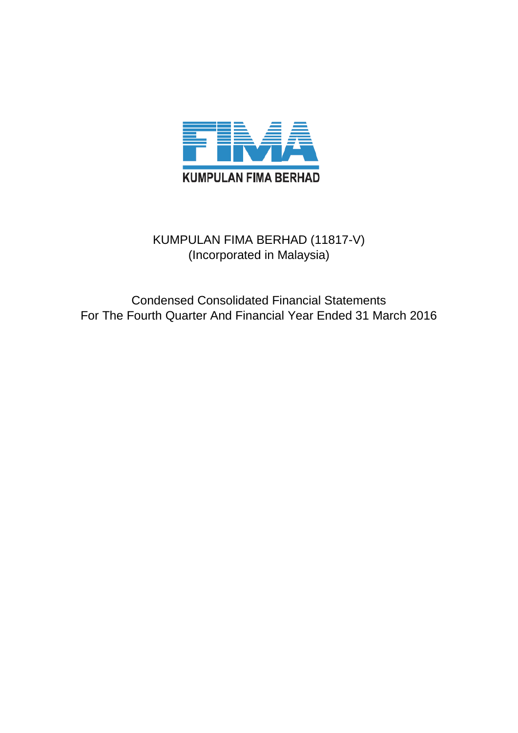

# KUMPULAN FIMA BERHAD (11817-V) (Incorporated in Malaysia)

Condensed Consolidated Financial Statements For The Fourth Quarter And Financial Year Ended 31 March 2016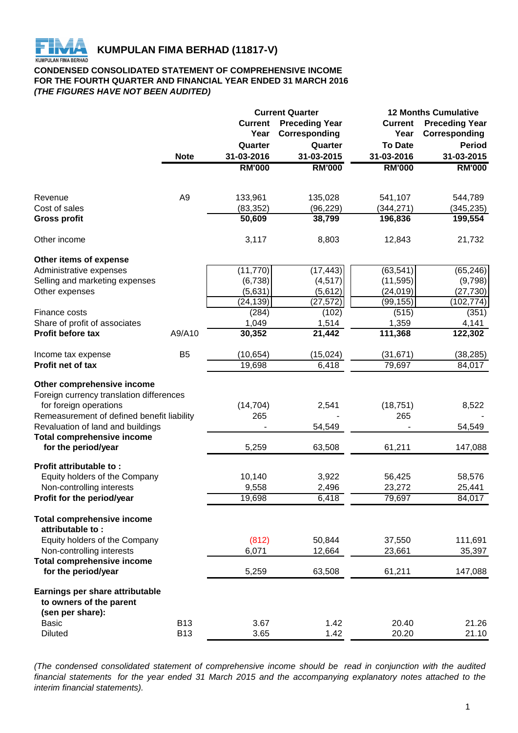

# **CONDENSED CONSOLIDATED STATEMENT OF COMPREHENSIVE INCOME FOR THE FOURTH QUARTER AND FINANCIAL YEAR ENDED 31 MARCH 2016** *(THE FIGURES HAVE NOT BEEN AUDITED)*

|                                                                                                                                                                                     |                |                  | <b>Current Quarter</b> | <b>12 Months Cumulative</b> |                       |  |  |
|-------------------------------------------------------------------------------------------------------------------------------------------------------------------------------------|----------------|------------------|------------------------|-----------------------------|-----------------------|--|--|
|                                                                                                                                                                                     |                | <b>Current</b>   | <b>Preceding Year</b>  | <b>Current</b>              | <b>Preceding Year</b> |  |  |
|                                                                                                                                                                                     |                | Year             | Corresponding          | Year                        | Corresponding         |  |  |
|                                                                                                                                                                                     |                | Quarter          | Quarter                | <b>To Date</b>              | <b>Period</b>         |  |  |
|                                                                                                                                                                                     | <b>Note</b>    | 31-03-2016       | 31-03-2015             | 31-03-2016                  | 31-03-2015            |  |  |
|                                                                                                                                                                                     |                | <b>RM'000</b>    | <b>RM'000</b>          | <b>RM'000</b>               | <b>RM'000</b>         |  |  |
|                                                                                                                                                                                     |                |                  |                        |                             |                       |  |  |
| Revenue                                                                                                                                                                             | A <sub>9</sub> | 133,961          | 135,028                | 541,107                     | 544,789               |  |  |
| Cost of sales                                                                                                                                                                       |                | (83, 352)        | (96, 229)              | (344, 271)                  | (345, 235)            |  |  |
| <b>Gross profit</b>                                                                                                                                                                 |                | 50,609           | 38,799                 | 196,836                     | 199,554               |  |  |
| Other income                                                                                                                                                                        |                | 3,117            | 8,803                  | 12,843                      | 21,732                |  |  |
| Other items of expense                                                                                                                                                              |                |                  |                        |                             |                       |  |  |
| Administrative expenses                                                                                                                                                             |                | (11, 770)        | (17, 443)              | (63, 541)                   | (65, 246)             |  |  |
| Selling and marketing expenses                                                                                                                                                      |                | (6,738)          | (4, 517)               | (11, 595)                   | (9,798)               |  |  |
| Other expenses                                                                                                                                                                      |                | (5,631)          | (5,612)                | (24, 019)                   | (27, 730)             |  |  |
|                                                                                                                                                                                     |                | (24, 139)        | (27, 572)              | (99, 155)                   | (102,774)             |  |  |
| Finance costs                                                                                                                                                                       |                | (284)            | (102)                  | (515)                       | (351)                 |  |  |
| Share of profit of associates                                                                                                                                                       |                | 1,049            | 1,514                  | 1,359                       | 4,141                 |  |  |
| Profit before tax                                                                                                                                                                   | A9/A10         | 30,352           | 21,442                 | 111,368                     | 122,302               |  |  |
| Income tax expense                                                                                                                                                                  | B <sub>5</sub> | (10, 654)        | (15, 024)              | (31, 671)                   | (38, 285)             |  |  |
| Profit net of tax                                                                                                                                                                   |                | 19,698           | 6,418                  | 79,697                      | 84,017                |  |  |
| Other comprehensive income<br>Foreign currency translation differences<br>for foreign operations<br>Remeasurement of defined benefit liability<br>Revaluation of land and buildings |                | (14, 704)<br>265 | 2,541<br>54,549        | (18, 751)<br>265            | 8,522<br>54,549       |  |  |
| <b>Total comprehensive income</b>                                                                                                                                                   |                |                  |                        |                             |                       |  |  |
| for the period/year                                                                                                                                                                 |                | 5,259            | 63,508                 | 61,211                      | 147,088               |  |  |
| Profit attributable to:                                                                                                                                                             |                |                  |                        |                             |                       |  |  |
| Equity holders of the Company<br>Non-controlling interests                                                                                                                          |                | 10,140<br>9,558  | 3,922<br>2,496         | 56,425<br>23,272            | 58,576<br>25,441      |  |  |
| Profit for the period/year                                                                                                                                                          |                | 19,698           | 6,418                  | 79,697                      | 84,017                |  |  |
|                                                                                                                                                                                     |                |                  |                        |                             |                       |  |  |
| <b>Total comprehensive income</b><br>attributable to:                                                                                                                               |                |                  |                        |                             |                       |  |  |
| Equity holders of the Company                                                                                                                                                       |                | (812)            | 50,844                 | 37,550                      | 111,691               |  |  |
| Non-controlling interests                                                                                                                                                           |                | 6,071            | 12,664                 | 23,661                      | 35,397                |  |  |
| <b>Total comprehensive income</b>                                                                                                                                                   |                |                  |                        |                             |                       |  |  |
| for the period/year                                                                                                                                                                 |                | 5,259            | 63,508                 | 61,211                      | 147,088               |  |  |
| Earnings per share attributable<br>to owners of the parent<br>(sen per share):                                                                                                      |                |                  |                        |                             |                       |  |  |
| <b>Basic</b>                                                                                                                                                                        | <b>B13</b>     | 3.67             | 1.42                   | 20.40                       | 21.26                 |  |  |
| <b>Diluted</b>                                                                                                                                                                      | <b>B13</b>     | 3.65             | 1.42                   | 20.20                       | 21.10                 |  |  |
|                                                                                                                                                                                     |                |                  |                        |                             |                       |  |  |

*(The condensed consolidated statement of comprehensive income should be read in conjunction with the audited* financial statements for the year ended 31 March 2015 and the accompanying explanatory notes attached to the *interim financial statements).*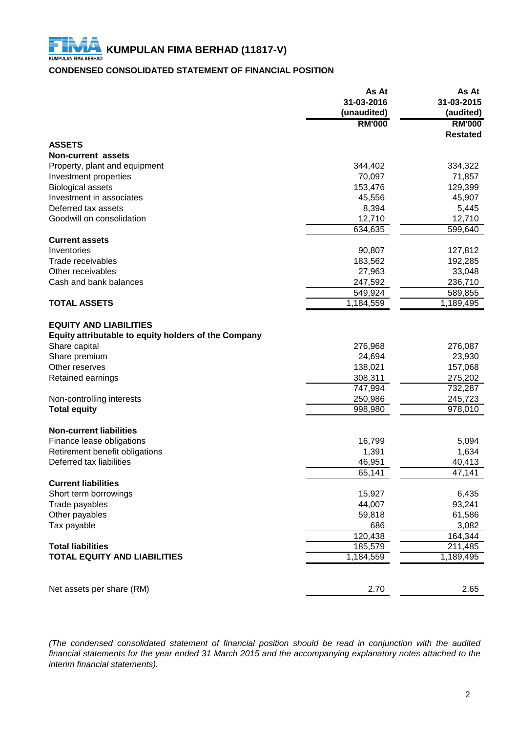# **CONDENSED CONSOLIDATED STATEMENT OF FINANCIAL POSITION**

|                                                      | As At         | As At           |
|------------------------------------------------------|---------------|-----------------|
|                                                      | 31-03-2016    | 31-03-2015      |
|                                                      | (unaudited)   | (audited)       |
|                                                      | <b>RM'000</b> | <b>RM'000</b>   |
|                                                      |               | <b>Restated</b> |
| <b>ASSETS</b>                                        |               |                 |
| <b>Non-current assets</b>                            |               |                 |
| Property, plant and equipment                        | 344,402       | 334,322         |
| Investment properties                                | 70,097        | 71,857          |
| <b>Biological assets</b><br>Investment in associates | 153,476       | 129,399         |
|                                                      | 45,556        | 45,907          |
| Deferred tax assets                                  | 8,394         | 5,445           |
| Goodwill on consolidation                            | 12,710        | 12,710          |
|                                                      | 634,635       | 599,640         |
| <b>Current assets</b>                                |               |                 |
| Inventories                                          | 90,807        | 127,812         |
| Trade receivables                                    | 183,562       | 192,285         |
| Other receivables                                    | 27,963        | 33,048          |
| Cash and bank balances                               | 247,592       | 236,710         |
|                                                      | 549,924       | 589,855         |
| <b>TOTAL ASSETS</b>                                  | 1,184,559     | 1,189,495       |
| <b>EQUITY AND LIABILITIES</b>                        |               |                 |
| Equity attributable to equity holders of the Company |               |                 |
| Share capital                                        | 276,968       | 276,087         |
| Share premium                                        | 24,694        | 23,930          |
| Other reserves                                       | 138,021       | 157,068         |
| Retained earnings                                    | 308,311       | 275,202         |
|                                                      | 747,994       | 732,287         |
| Non-controlling interests                            | 250,986       | 245,723         |
| <b>Total equity</b>                                  | 998,980       | 978,010         |
|                                                      |               |                 |
| <b>Non-current liabilities</b>                       |               |                 |
| Finance lease obligations                            | 16,799        | 5,094           |
| Retirement benefit obligations                       | 1,391         | 1,634           |
| Deferred tax liabilities                             | 46,951        | 40,413          |
|                                                      | 65,141        | 47,141          |
| <b>Current liabilities</b>                           |               |                 |
| Short term borrowings                                | 15,927        | 6,435           |
| Trade payables                                       | 44,007        | 93,241          |
| Other payables                                       | 59,818        | 61,586          |
| Tax payable                                          | 686           | 3,082           |
|                                                      | 120,438       | 164,344         |
| <b>Total liabilities</b>                             | 185,579       | 211,485         |
| <b>TOTAL EQUITY AND LIABILITIES</b>                  | 1,184,559     | 1,189,495       |
|                                                      |               |                 |
|                                                      |               |                 |
| Net assets per share (RM)                            | 2.70          | 2.65            |

*(The condensed consolidated statement of financial position should be read in conjunction with the audited* financial statements for the year ended 31 March 2015 and the accompanying explanatory notes attached to the *interim financial statements).*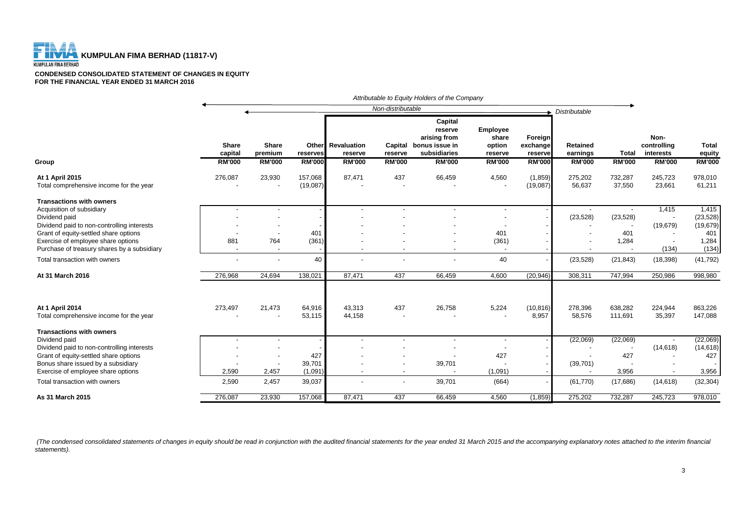# **KUMPULAN FIMA BERHAD (11817-V)**<br>KUMPULAN FIMA BERHAD

**CONDENSED CONSOLIDATED STATEMENT OF CHANGES IN EQUITY FOR THE FINANCIAL YEAR ENDED 31 MARCH 2016**

|                                                            | Attributable to Equity Holders of the Company |                                          |                                    |                                         |                          |                                                                                               |                                                                |                                                 |                                              |                        |                                                   |                                         |
|------------------------------------------------------------|-----------------------------------------------|------------------------------------------|------------------------------------|-----------------------------------------|--------------------------|-----------------------------------------------------------------------------------------------|----------------------------------------------------------------|-------------------------------------------------|----------------------------------------------|------------------------|---------------------------------------------------|-----------------------------------------|
|                                                            |                                               |                                          |                                    |                                         | Non-distributable        |                                                                                               |                                                                |                                                 |                                              |                        |                                                   |                                         |
| Group                                                      | Share<br>capital<br><b>RM'000</b>             | <b>Share</b><br>premium<br><b>RM'000</b> | Other<br>reserves<br><b>RM'000</b> | Revaluation<br>reserve<br><b>RM'000</b> | reserve<br><b>RM'000</b> | Capital<br>reserve<br>arising from<br>Capital bonus issue in<br>subsidiaries<br><b>RM'000</b> | <b>Employee</b><br>share<br>option<br>reserve<br><b>RM'000</b> | Foreign<br>exchange<br>reserve<br><b>RM'000</b> | <b>Retained</b><br>earnings<br><b>RM'000</b> | Total<br><b>RM'000</b> | Non-<br>controlling<br>interests<br><b>RM'000</b> | <b>Total</b><br>equity<br><b>RM'000</b> |
|                                                            |                                               |                                          |                                    |                                         |                          |                                                                                               |                                                                |                                                 |                                              |                        |                                                   |                                         |
| At 1 April 2015<br>Total comprehensive income for the year | 276,087                                       | 23,930<br>$\overline{\phantom{a}}$       | 157,068<br>(19,087)                | 87,471                                  | 437                      | 66,459                                                                                        | 4,560                                                          | (1,859)<br>(19,087)                             | 275,202<br>56,637                            | 732,287<br>37,550      | 245,723<br>23,661                                 | 978,010<br>61,211                       |
| <b>Transactions with owners</b>                            |                                               |                                          |                                    |                                         |                          |                                                                                               |                                                                |                                                 |                                              |                        |                                                   |                                         |
| Acquisition of subsidiary                                  |                                               |                                          |                                    |                                         |                          |                                                                                               |                                                                |                                                 |                                              |                        | 1,415                                             | 1,415                                   |
| Dividend paid                                              |                                               |                                          |                                    |                                         |                          |                                                                                               |                                                                |                                                 | (23, 528)                                    | (23, 528)              |                                                   | (23, 528)                               |
| Dividend paid to non-controlling interests                 |                                               |                                          |                                    |                                         |                          |                                                                                               |                                                                |                                                 |                                              |                        | (19, 679)                                         | (19, 679)                               |
| Grant of equity-settled share options                      |                                               |                                          | 401                                |                                         |                          |                                                                                               | 401                                                            |                                                 |                                              | 401                    |                                                   | 401                                     |
| Exercise of employee share options                         | 881                                           | 764                                      | (361)                              |                                         |                          |                                                                                               | (361)                                                          |                                                 |                                              | 1,284                  |                                                   | 1,284                                   |
| Purchase of treasury shares by a subsidiary                |                                               | $\overline{\phantom{a}}$                 |                                    |                                         |                          |                                                                                               | $\overline{\phantom{a}}$                                       |                                                 |                                              |                        | (134)                                             | (134)                                   |
| Total transaction with owners                              |                                               | $\overline{\phantom{a}}$                 | 40                                 |                                         | $\blacksquare$           |                                                                                               | 40                                                             |                                                 | (23, 528)                                    | (21, 843)              | (18, 398)                                         | (41, 792)                               |
| At 31 March 2016                                           | 276,968                                       | 24,694                                   | 138,021                            | 87,471                                  | 437                      | 66,459                                                                                        | 4,600                                                          | (20, 946)                                       | 308,311                                      | 747,994                | 250,986                                           | 998,980                                 |
| At 1 April 2014                                            | 273,497                                       | 21,473                                   |                                    | 43,313                                  | 437                      | 26,758                                                                                        |                                                                |                                                 | 278,396                                      | 638,282                | 224,944                                           | 863,226                                 |
| Total comprehensive income for the year                    |                                               |                                          | 64,916<br>53,115                   | 44,158                                  | $\overline{\phantom{a}}$ |                                                                                               | 5,224                                                          | (10, 816)<br>8,957                              | 58,576                                       | 111,691                | 35,397                                            | 147,088                                 |
| <b>Transactions with owners</b>                            |                                               |                                          |                                    |                                         |                          |                                                                                               |                                                                |                                                 |                                              |                        |                                                   |                                         |
| Dividend paid                                              |                                               |                                          |                                    |                                         | $\overline{\phantom{0}}$ |                                                                                               | $\overline{\phantom{a}}$                                       |                                                 | (22,069)                                     | (22,069)               |                                                   | (22,069)                                |
| Dividend paid to non-controlling interests                 |                                               | $\overline{\phantom{a}}$                 |                                    |                                         |                          |                                                                                               |                                                                |                                                 |                                              |                        | (14, 618)                                         | (14, 618)                               |
| Grant of equity-settled share options                      |                                               | $\overline{\phantom{a}}$                 | 427                                |                                         |                          |                                                                                               | 427                                                            |                                                 |                                              | 427                    |                                                   | 427                                     |
| Bonus share issued by a subsidiary                         |                                               |                                          | 39,701                             |                                         |                          | 39,701                                                                                        |                                                                |                                                 | (39, 701)                                    |                        |                                                   |                                         |
| Exercise of employee share options                         | 2,590                                         | 2,457                                    | (1,091)                            |                                         | $\overline{\phantom{a}}$ |                                                                                               | (1,091)                                                        |                                                 |                                              | 3,956                  |                                                   | 3,956                                   |
| Total transaction with owners                              | 2,590                                         | 2,457                                    | 39,037                             |                                         | $\overline{\phantom{a}}$ | 39,701                                                                                        | (664)                                                          |                                                 | (61, 770)                                    | (17,686)               | (14, 618)                                         | (32, 304)                               |
| As 31 March 2015                                           | 276,087                                       | 23,930                                   | 157,068                            | 87,471                                  | 437                      | 66,459                                                                                        | 4,560                                                          | (1,859)                                         | 275,202                                      | 732,287                | 245,723                                           | 978,010                                 |

(The condensed consolidated statements of changes in equity should be read in conjunction with the audited financial statements for the year ended 31 March 2015 and the accompanying explanatory notes attached to the interi *statements).*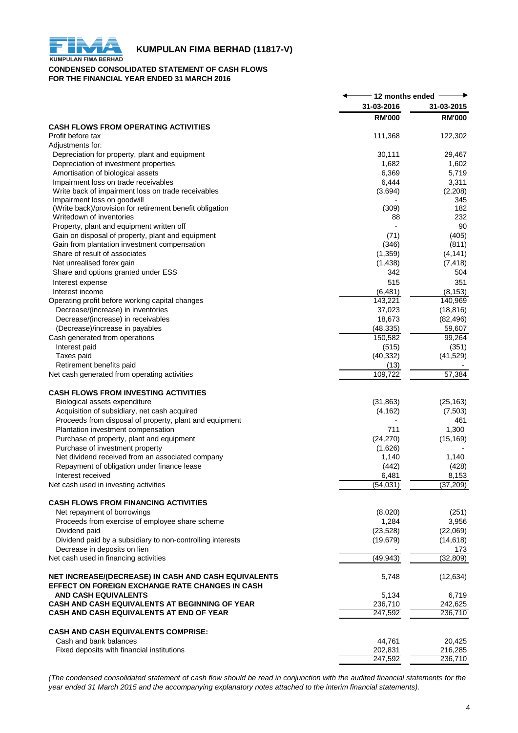

# **KUMPULAN FIMA BERHAD (11817-V)**<br>KUMPULAN FIMA BERHAD

#### **CONDENSED CONSOLIDATED STATEMENT OF CASH FLOWS FOR THE FINANCIAL YEAR ENDED 31 MARCH 2016**

|                                                                                                         | 12 months ended  |                        |
|---------------------------------------------------------------------------------------------------------|------------------|------------------------|
|                                                                                                         | 31-03-2016       | 31-03-2015             |
|                                                                                                         | <b>RM'000</b>    | <b>RM'000</b>          |
| <b>CASH FLOWS FROM OPERATING ACTIVITIES</b>                                                             |                  |                        |
| Profit before tax                                                                                       | 111,368          | 122,302                |
| Adjustments for:                                                                                        | 30,111           | 29,467                 |
| Depreciation for property, plant and equipment<br>Depreciation of investment properties                 | 1,682            | 1,602                  |
| Amortisation of biological assets                                                                       | 6,369            | 5,719                  |
| Impairment loss on trade receivables                                                                    | 6,444            | 3,311                  |
| Write back of impairment loss on trade receivables                                                      | (3,694)          | (2,208)                |
| Impairment loss on goodwill                                                                             |                  | 345                    |
| (Write back)/provision for retirement benefit obligation                                                | (309)            | 182                    |
| Writedown of inventories                                                                                | 88               | 232                    |
| Property, plant and equipment written off                                                               |                  | 90                     |
| Gain on disposal of property, plant and equipment                                                       | (71)             | (405)                  |
| Gain from plantation investment compensation                                                            | (346)            | (811)                  |
| Share of result of associates                                                                           | (1, 359)         | (4, 141)               |
| Net unrealised forex gain                                                                               | (1, 438)         | (7, 418)               |
| Share and options granted under ESS                                                                     | 342              | 504                    |
| Interest expense                                                                                        | 515              | 351                    |
| Interest income                                                                                         | (6, 481)         | (8, 153)               |
| Operating profit before working capital changes                                                         | 143,221          | 140,969                |
| Decrease/(increase) in inventories                                                                      | 37,023<br>18,673 | (18, 816)<br>(82, 496) |
| Decrease/(increase) in receivables<br>(Decrease)/increase in payables                                   | (48, 335)        | 59,607                 |
| Cash generated from operations                                                                          | 150,582          | 99,264                 |
| Interest paid                                                                                           | (515)            | (351)                  |
| Taxes paid                                                                                              | (40, 332)        | (41, 529)              |
| Retirement benefits paid                                                                                | (13)             |                        |
| Net cash generated from operating activities                                                            | 109,722          | 57,384                 |
| <b>CASH FLOWS FROM INVESTING ACTIVITIES</b>                                                             |                  |                        |
| Biological assets expenditure                                                                           | (31, 863)        | (25, 163)              |
| Acquisition of subsidiary, net cash acquired                                                            | (4, 162)         | (7,503)                |
| Proceeds from disposal of property, plant and equipment                                                 |                  | 461                    |
| Plantation investment compensation                                                                      | 711              | 1,300                  |
| Purchase of property, plant and equipment                                                               | (24, 270)        | (15, 169)              |
| Purchase of investment property                                                                         | (1,626)          |                        |
| Net dividend received from an associated company                                                        | 1,140            | 1,140                  |
| Repayment of obligation under finance lease                                                             | (442)            | (428)                  |
| Interest received                                                                                       | 6,481            | 8,153                  |
| Net cash used in investing activities                                                                   | (54, 031)        | (37, 209)              |
| <b>CASH FLOWS FROM FINANCING ACTIVITIES</b>                                                             |                  |                        |
| Net repayment of borrowings                                                                             | (8,020)          | (251)                  |
| Proceeds from exercise of employee share scheme                                                         | 1,284            | 3,956                  |
| Dividend paid                                                                                           | (23, 528)        | (22,069)               |
| Dividend paid by a subsidiary to non-controlling interests                                              | (19, 679)        | (14, 618)              |
| Decrease in deposits on lien                                                                            |                  | 173                    |
| Net cash used in financing activities                                                                   | (49, 943)        | (32, 809)              |
| NET INCREASE/(DECREASE) IN CASH AND CASH EQUIVALENTS<br>EFFECT ON FOREIGN EXCHANGE RATE CHANGES IN CASH | 5,748            | (12, 634)              |
| <b>AND CASH EQUIVALENTS</b>                                                                             | 5,134            | 6,719                  |
| CASH AND CASH EQUIVALENTS AT BEGINNING OF YEAR                                                          | 236,710          | 242,625                |
| CASH AND CASH EQUIVALENTS AT END OF YEAR                                                                | 247,592          | 236,710                |
| CASH AND CASH EQUIVALENTS COMPRISE:                                                                     |                  |                        |
| Cash and bank balances                                                                                  | 44,761           | 20,425                 |
| Fixed deposits with financial institutions                                                              | 202,831          | 216,285                |
|                                                                                                         | 247,592          | 236,710                |

(The condensed consolidated statement of cash flow should be read in conjunction with the audited financial statements for the *year ended 31 March 2015 and the accompanying explanatory notes attached to the interim financial statements).*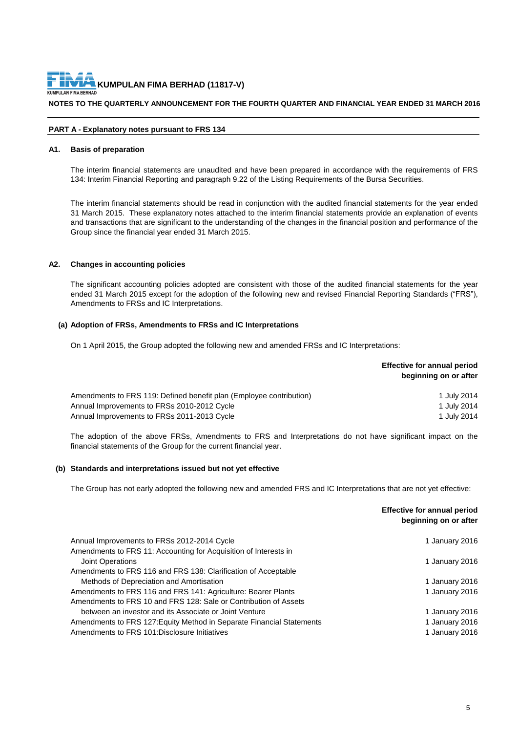#### **NOTES TO THE QUARTERLY ANNOUNCEMENT FOR THE FOURTH QUARTER AND FINANCIAL YEAR ENDED 31 MARCH 2016**

#### **PART A - Explanatory notes pursuant to FRS 134**

#### **A1. Basis of preparation**

The interim financial statements are unaudited and have been prepared in accordance with the requirements of FRS 134: Interim Financial Reporting and paragraph 9.22 of the Listing Requirements of the Bursa Securities.

The interim financial statements should be read in conjunction with the audited financial statements for the year ended 31 March 2015. These explanatory notes attached to the interim financial statements provide an explanation of events and transactions that are significant to the understanding of the changes in the financial position and performance of the Group since the financial year ended 31 March 2015.

#### **A2. Changes in accounting policies**

The significant accounting policies adopted are consistent with those of the audited financial statements for the year ended 31 March 2015 except for the adoption of the following new and revised Financial Reporting Standards ("FRS"), Amendments to FRSs and IC Interpretations.

#### **(a) Adoption of FRSs, Amendments to FRSs and IC Interpretations**

On 1 April 2015, the Group adopted the following new and amended FRSs and IC Interpretations:

|                                                                     | <b>Effective for annual period</b><br>beginning on or after |
|---------------------------------------------------------------------|-------------------------------------------------------------|
| Amendments to FRS 119: Defined benefit plan (Employee contribution) | 1 July 2014                                                 |
| Annual Improvements to FRSs 2010-2012 Cycle                         | 1 July 2014                                                 |
| Annual Improvements to FRSs 2011-2013 Cycle                         | 1 July 2014                                                 |

The adoption of the above FRSs, Amendments to FRS and Interpretations do not have significant impact on the financial statements of the Group for the current financial year.

#### **(b) Standards and interpretations issued but not yet effective**

The Group has not early adopted the following new and amended FRS and IC Interpretations that are not yet effective:

|                                                                       | <b>Effective for annual period</b><br>beginning on or after |
|-----------------------------------------------------------------------|-------------------------------------------------------------|
| Annual Improvements to FRSs 2012-2014 Cycle                           | 1 January 2016                                              |
| Amendments to FRS 11: Accounting for Acquisition of Interests in      |                                                             |
| Joint Operations                                                      | 1 January 2016                                              |
| Amendments to FRS 116 and FRS 138: Clarification of Acceptable        |                                                             |
| Methods of Depreciation and Amortisation                              | 1 January 2016                                              |
| Amendments to FRS 116 and FRS 141: Agriculture: Bearer Plants         | 1 January 2016                                              |
| Amendments to FRS 10 and FRS 128: Sale or Contribution of Assets      |                                                             |
| between an investor and its Associate or Joint Venture                | 1 January 2016                                              |
| Amendments to FRS 127: Equity Method in Separate Financial Statements | 1 January 2016                                              |
| Amendments to FRS 101: Disclosure Initiatives                         | 1 January 2016                                              |
|                                                                       |                                                             |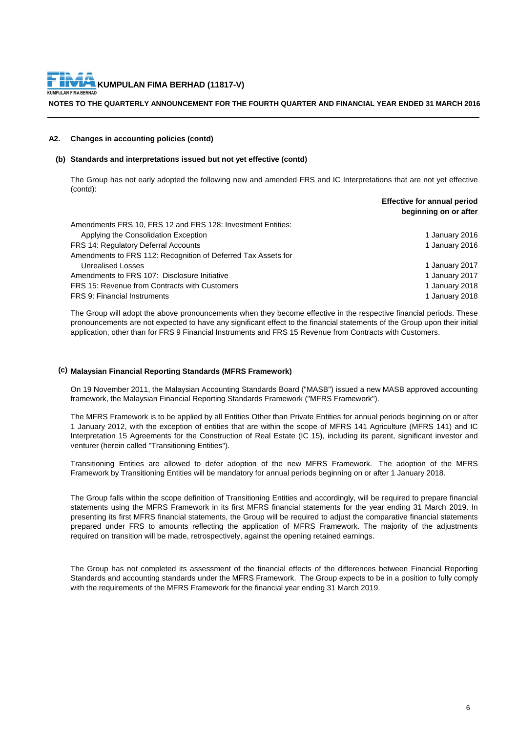**NOTES TO THE QUARTERLY ANNOUNCEMENT FOR THE FOURTH QUARTER AND FINANCIAL YEAR ENDED 31 MARCH 2016**

#### **A2. Changes in accounting policies (contd)**

#### **(b) Standards and interpretations issued but not yet effective (contd)**

The Group has not early adopted the following new and amended FRS and IC Interpretations that are not yet effective (contd):

|                                                               | beginning on or after |
|---------------------------------------------------------------|-----------------------|
| Amendments FRS 10, FRS 12 and FRS 128: Investment Entities:   |                       |
| Applying the Consolidation Exception                          | 1 January 2016        |
| <b>FRS 14: Regulatory Deferral Accounts</b>                   | 1 January 2016        |
| Amendments to FRS 112: Recognition of Deferred Tax Assets for |                       |
| Unrealised Losses                                             | 1 January 2017        |
| Amendments to FRS 107: Disclosure Initiative                  | 1 January 2017        |
| FRS 15: Revenue from Contracts with Customers                 | 1 January 2018        |
| <b>FRS 9: Financial Instruments</b>                           | 1 January 2018        |
|                                                               |                       |

The Group will adopt the above pronouncements when they become effective in the respective financial periods. These pronouncements are not expected to have any significant effect to the financial statements of the Group upon their initial application, other than for FRS 9 Financial Instruments and FRS 15 Revenue from Contracts with Customers.

#### **(c) Malaysian Financial Reporting Standards (MFRS Framework)**

On 19 November 2011, the Malaysian Accounting Standards Board ("MASB") issued a new MASB approved accounting framework, the Malaysian Financial Reporting Standards Framework ("MFRS Framework").

The MFRS Framework is to be applied by all Entities Other than Private Entities for annual periods beginning on or after 1 January 2012, with the exception of entities that are within the scope of MFRS 141 Agriculture (MFRS 141) and IC Interpretation 15 Agreements for the Construction of Real Estate (IC 15), including its parent, significant investor and venturer (herein called "Transitioning Entities").

Transitioning Entities are allowed to defer adoption of the new MFRS Framework. The adoption of the MFRS Framework by Transitioning Entities will be mandatory for annual periods beginning on or after 1 January 2018.

The Group falls within the scope definition of Transitioning Entities and accordingly, will be required to prepare financial statements using the MFRS Framework in its first MFRS financial statements for the year ending 31 March 2019. In presenting its first MFRS financial statements, the Group will be required to adjust the comparative financial statements prepared under FRS to amounts reflecting the application of MFRS Framework. The majority of the adjustments required on transition will be made, retrospectively, against the opening retained earnings.

The Group has not completed its assessment of the financial effects of the differences between Financial Reporting Standards and accounting standards under the MFRS Framework. The Group expects to be in a position to fully comply with the requirements of the MFRS Framework for the financial year ending 31 March 2019.

**Effective for annual period**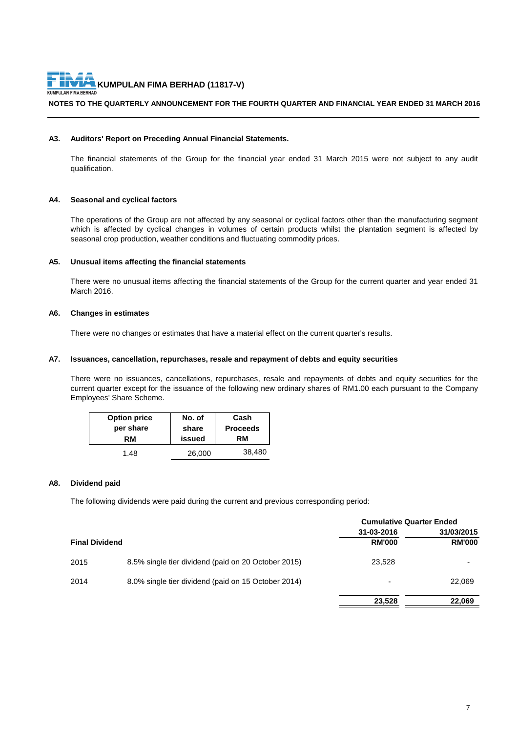#### **NOTES TO THE QUARTERLY ANNOUNCEMENT FOR THE FOURTH QUARTER AND FINANCIAL YEAR ENDED 31 MARCH 2016**

#### **A3. Auditors' Report on Preceding Annual Financial Statements.**

The financial statements of the Group for the financial year ended 31 March 2015 were not subject to any audit qualification.

#### **A4. Seasonal and cyclical factors**

The operations of the Group are not affected by any seasonal or cyclical factors other than the manufacturing segment which is affected by cyclical changes in volumes of certain products whilst the plantation segment is affected by seasonal crop production, weather conditions and fluctuating commodity prices.

#### **A5. Unusual items affecting the financial statements**

There were no unusual items affecting the financial statements of the Group for the current quarter and year ended 31 March 2016.

#### **A6. Changes in estimates**

There were no changes or estimates that have a material effect on the current quarter's results.

#### **A7. Issuances, cancellation, repurchases, resale and repayment of debts and equity securities**

There were no issuances, cancellations, repurchases, resale and repayments of debts and equity securities for the current quarter except for the issuance of the following new ordinary shares of RM1.00 each pursuant to the Company Employees' Share Scheme.

| <b>Option price</b> | No. of | Cash            |
|---------------------|--------|-----------------|
| per share           | share  | <b>Proceeds</b> |
| RM                  | issued | RM              |
| 1.48                | 26,000 | 38,480          |

#### **A8. Dividend paid**

The following dividends were paid during the current and previous corresponding period:

|                       |                                                     | <b>Cumulative Quarter Ended</b> |               |
|-----------------------|-----------------------------------------------------|---------------------------------|---------------|
|                       |                                                     | 31-03-2016                      | 31/03/2015    |
| <b>Final Dividend</b> |                                                     | <b>RM'000</b>                   | <b>RM'000</b> |
| 2015                  | 8.5% single tier dividend (paid on 20 October 2015) | 23.528                          |               |
| 2014                  | 8.0% single tier dividend (paid on 15 October 2014) | $\overline{\phantom{0}}$        | 22,069        |
|                       |                                                     | 23,528                          | 22,069        |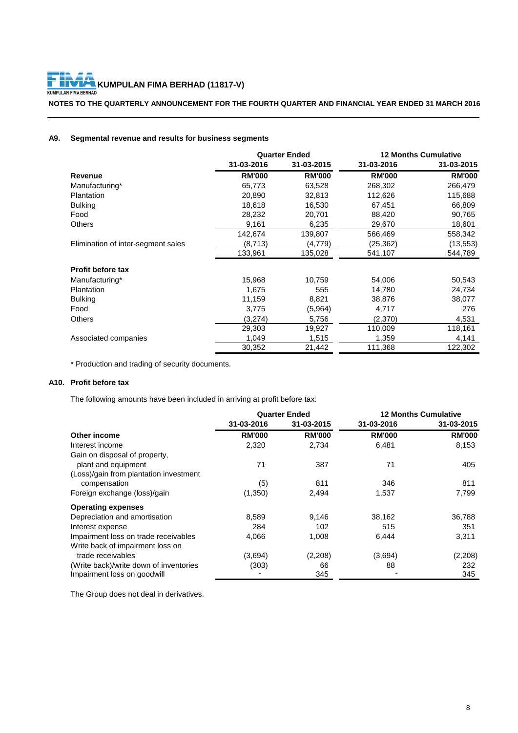F **KUMPULAN FIMA BERHAD (11817-V)**<br>LAN FIMA BERHAD KUMPL

**NOTES TO THE QUARTERLY ANNOUNCEMENT FOR THE FOURTH QUARTER AND FINANCIAL YEAR ENDED 31 MARCH 2016**

### **A9. Segmental revenue and results for business segments**

|                                    | <b>Quarter Ended</b> |               | <b>12 Months Cumulative</b> |               |
|------------------------------------|----------------------|---------------|-----------------------------|---------------|
|                                    | 31-03-2016           | 31-03-2015    | 31-03-2016                  | 31-03-2015    |
| <b>Revenue</b>                     | <b>RM'000</b>        | <b>RM'000</b> | <b>RM'000</b>               | <b>RM'000</b> |
| Manufacturing*                     | 65,773               | 63,528        | 268,302                     | 266,479       |
| Plantation                         | 20,890               | 32,813        | 112,626                     | 115,688       |
| <b>Bulking</b>                     | 18,618               | 16,530        | 67,451                      | 66,809        |
| Food                               | 28,232               | 20,701        | 88,420                      | 90,765        |
| <b>Others</b>                      | 9,161                | 6,235         | 29,670                      | 18,601        |
|                                    | 142,674              | 139,807       | 566,469                     | 558,342       |
| Elimination of inter-segment sales | (8,713)              | (4,779)       | (25,362)                    | (13,553)      |
|                                    | 133,961              | 135,028       | 541,107                     | 544,789       |
| <b>Profit before tax</b>           |                      |               |                             |               |
| Manufacturing*                     | 15,968               | 10,759        | 54,006                      | 50,543        |
| Plantation                         | 1,675                | 555           | 14,780                      | 24,734        |
| <b>Bulking</b>                     | 11,159               | 8,821         | 38,876                      | 38,077        |
| Food                               | 3,775                | (5,964)       | 4,717                       | 276           |
| <b>Others</b>                      | (3,274)              | 5,756         | (2,370)                     | 4,531         |
|                                    | 29,303               | 19,927        | 110,009                     | 118,161       |
| Associated companies               | 1,049                | 1,515         | 1,359                       | 4,141         |
|                                    | 30,352               | 21,442        | 111,368                     | 122,302       |

\* Production and trading of security documents.

#### **A10. Profit before tax**

The following amounts have been included in arriving at profit before tax:

|                                        | <b>Quarter Ended</b> |               |               | <b>12 Months Cumulative</b> |
|----------------------------------------|----------------------|---------------|---------------|-----------------------------|
|                                        | 31-03-2016           | 31-03-2015    | 31-03-2016    | 31-03-2015                  |
| Other income                           | <b>RM'000</b>        | <b>RM'000</b> | <b>RM'000</b> | <b>RM'000</b>               |
| Interest income                        | 2,320                | 2,734         | 6,481         | 8,153                       |
| Gain on disposal of property,          |                      |               |               |                             |
| plant and equipment                    | 71                   | 387           | 71            | 405                         |
| (Loss)/gain from plantation investment |                      |               |               |                             |
| compensation                           | (5)                  | 811           | 346           | 811                         |
| Foreign exchange (loss)/gain           | (1,350)              | 2,494         | 1,537         | 7,799                       |
| <b>Operating expenses</b>              |                      |               |               |                             |
| Depreciation and amortisation          | 8,589                | 9,146         | 38,162        | 36,788                      |
| Interest expense                       | 284                  | 102           | 515           | 351                         |
| Impairment loss on trade receivables   | 4,066                | 1,008         | 6,444         | 3,311                       |
| Write back of impairment loss on       |                      |               |               |                             |
| trade receivables                      | (3,694)              | (2,208)       | (3,694)       | (2, 208)                    |
| (Write back)/write down of inventories | (303)                | 66            | 88            | 232                         |
| Impairment loss on goodwill            |                      | 345           |               | 345                         |

The Group does not deal in derivatives.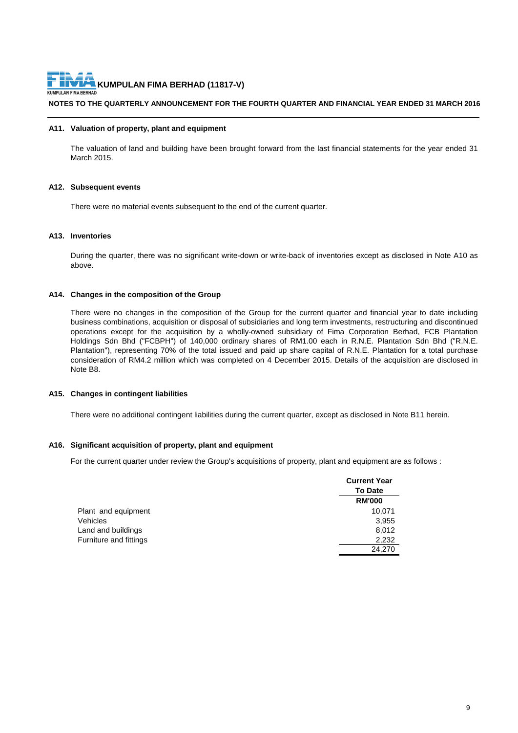**NOTES TO THE QUARTERLY ANNOUNCEMENT FOR THE FOURTH QUARTER AND FINANCIAL YEAR ENDED 31 MARCH 2016**

#### **A11. Valuation of property, plant and equipment**

The valuation of land and building have been brought forward from the last financial statements for the year ended 31 March 2015.

#### **A12. Subsequent events**

There were no material events subsequent to the end of the current quarter.

#### **A13. Inventories**

During the quarter, there was no significant write-down or write-back of inventories except as disclosed in Note A10 as above.

#### **A14. Changes in the composition of the Group**

There were no changes in the composition of the Group for the current quarter and financial year to date including business combinations, acquisition or disposal of subsidiaries and long term investments, restructuring and discontinued operations except for the acquisition by a wholly-owned subsidiary of Fima Corporation Berhad, FCB Plantation Holdings Sdn Bhd ("FCBPH") of 140,000 ordinary shares of RM1.00 each in R.N.E. Plantation Sdn Bhd ("R.N.E. Plantation"), representing 70% of the total issued and paid up share capital of R.N.E. Plantation for a total purchase consideration of RM4.2 million which was completed on 4 December 2015. Details of the acquisition are disclosed in Note B8.

#### **A15. Changes in contingent liabilities**

There were no additional contingent liabilities during the current quarter, except as disclosed in Note B11 herein.

#### **A16. Significant acquisition of property, plant and equipment**

For the current quarter under review the Group's acquisitions of property, plant and equipment are as follows :

|                        | <b>Current Year</b><br><b>To Date</b> |
|------------------------|---------------------------------------|
|                        | <b>RM'000</b>                         |
| Plant and equipment    | 10,071                                |
| <b>Vehicles</b>        | 3,955                                 |
| Land and buildings     | 8,012                                 |
| Furniture and fittings | 2,232                                 |
|                        | 24,270                                |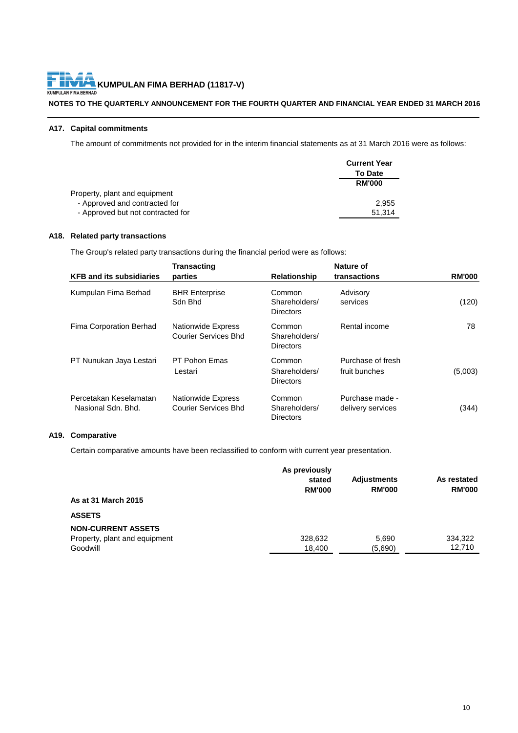# **NOTES TO THE QUARTERLY ANNOUNCEMENT FOR THE FOURTH QUARTER AND FINANCIAL YEAR ENDED 31 MARCH 2016**

# **A17. Capital commitments**

The amount of commitments not provided for in the interim financial statements as at 31 March 2016 were as follows:

|                                   | <b>Current Year</b> |
|-----------------------------------|---------------------|
|                                   | <b>To Date</b>      |
|                                   | <b>RM'000</b>       |
| Property, plant and equipment     |                     |
| - Approved and contracted for     | 2.955               |
| - Approved but not contracted for | 51.314              |

#### **A18. Related party transactions**

The Group's related party transactions during the financial period were as follows:

| <b>KFB and its subsidiaries</b>              | <b>Transacting</b><br>parties                            | <b>Relationship</b>                         | Nature of<br>transactions            | <b>RM'000</b> |
|----------------------------------------------|----------------------------------------------------------|---------------------------------------------|--------------------------------------|---------------|
| Kumpulan Fima Berhad                         | <b>BHR Enterprise</b><br>Sdn Bhd                         | Common<br>Shareholders/<br><b>Directors</b> | Advisory<br>services                 | (120)         |
| Fima Corporation Berhad                      | <b>Nationwide Express</b><br>Courier Services Bhd        | Common<br>Shareholders/<br><b>Directors</b> | Rental income                        | 78            |
| PT Nunukan Jaya Lestari                      | PT Pohon Fmas<br>Lestari                                 | Common<br>Shareholders/<br><b>Directors</b> | Purchase of fresh<br>fruit bunches   | (5,003)       |
| Percetakan Keselamatan<br>Nasional Sdn. Bhd. | <b>Nationwide Express</b><br><b>Courier Services Bhd</b> | Common<br>Shareholders/<br><b>Directors</b> | Purchase made -<br>delivery services | (344)         |

### **A19. Comparative**

Certain comparative amounts have been reclassified to conform with current year presentation.

|                                           | As previously<br>stated<br><b>RM'000</b> | <b>Adjustments</b><br><b>RM'000</b> | As restated<br><b>RM'000</b> |
|-------------------------------------------|------------------------------------------|-------------------------------------|------------------------------|
| As at 31 March 2015                       |                                          |                                     |                              |
| <b>ASSETS</b>                             |                                          |                                     |                              |
| <b>NON-CURRENT ASSETS</b>                 |                                          |                                     |                              |
| Property, plant and equipment<br>Goodwill | 328,632<br>18,400                        | 5,690<br>(5,690)                    | 334,322<br>12,710            |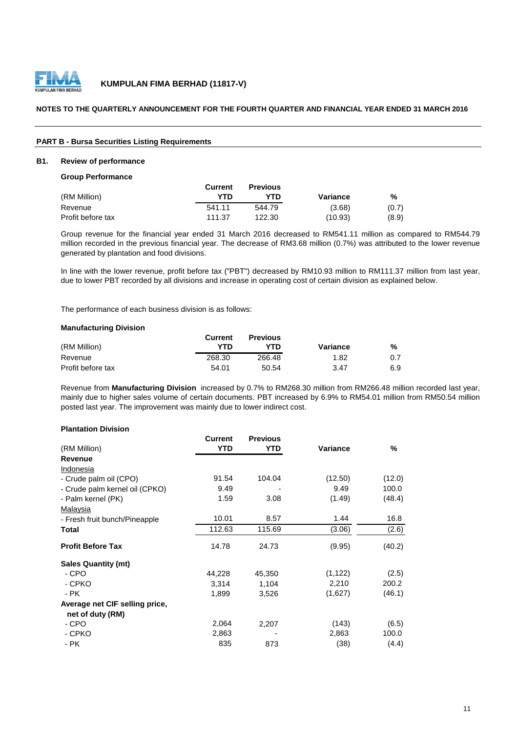

#### **NOTES TO THE QUARTERLY ANNOUNCEMENT FOR THE FOURTH QUARTER AND FINANCIAL YEAR ENDED 31 MARCH 2016**

#### **PART B - Bursa Securities Listing Requirements**

#### **B1. Review of performance**

**Group Performance**

|                   | Current | <b>Previous</b> |          |       |
|-------------------|---------|-----------------|----------|-------|
| (RM Million)      | YTD     | YTD             | Variance | %     |
| Revenue           | 541.11  | 544.79          | (3.68)   | (0.7) |
| Profit before tax | 111.37  | 122.30          | (10.93)  | (8.9) |

Group revenue for the financial year ended 31 March 2016 decreased to RM541.11 million as compared to RM544.79 million recorded in the previous financial year. The decrease of RM3.68 million (0.7%) was attributed to the lower revenue generated by plantation and food divisions.

In line with the lower revenue, profit before tax ("PBT") decreased by RM10.93 million to RM111.37 million from last year, due to lower PBT recorded by all divisions and increase in operating cost of certain division as explained below.

The performance of each business division is as follows:

#### **Manufacturing Division**

|                   | Current | <b>Previous</b> |          |     |
|-------------------|---------|-----------------|----------|-----|
| (RM Million)      | YTN     | YTN             | Variance | %   |
| Revenue           | 268.30  | 266.48          | 1.82     | 0.7 |
| Profit before tax | 54.01   | 50.54           | 3.47     | 6.9 |

Revenue from **Manufacturing Division** increased by 0.7% to RM268.30 million from RM266.48 million recorded last year, mainly due to higher sales volume of certain documents. PBT increased by 6.9% to RM54.01 million from RM50.54 million posted last year. The improvement was mainly due to lower indirect cost.

#### **Plantation Division**

|                                | Current    | <b>Previous</b> |          |        |
|--------------------------------|------------|-----------------|----------|--------|
| (RM Million)                   | <b>YTD</b> | YTD             | Variance | %      |
| <b>Revenue</b>                 |            |                 |          |        |
| Indonesia                      |            |                 |          |        |
| - Crude palm oil (CPO)         | 91.54      | 104.04          | (12.50)  | (12.0) |
| - Crude palm kernel oil (CPKO) | 9.49       |                 | 9.49     | 100.0  |
| - Palm kernel (PK)             | 1.59       | 3.08            | (1.49)   | (48.4) |
| Malaysia                       |            |                 |          |        |
| - Fresh fruit bunch/Pineapple  | 10.01      | 8.57            | 1.44     | 16.8   |
| Total                          | 112.63     | 115.69          | (3.06)   | (2.6)  |
| <b>Profit Before Tax</b>       | 14.78      | 24.73           | (9.95)   | (40.2) |
| <b>Sales Quantity (mt)</b>     |            |                 |          |        |
| - CPO                          | 44,228     | 45,350          | (1, 122) | (2.5)  |
| - CPKO                         | 3,314      | 1,104           | 2,210    | 200.2  |
| - PK                           | 1,899      | 3,526           | (1,627)  | (46.1) |
| Average net CIF selling price, |            |                 |          |        |
| net of duty (RM)               |            |                 |          |        |
| - CPO                          | 2,064      | 2,207           | (143)    | (6.5)  |
| - CPKO                         | 2,863      |                 | 2,863    | 100.0  |
| - PK                           | 835        | 873             | (38)     | (4.4)  |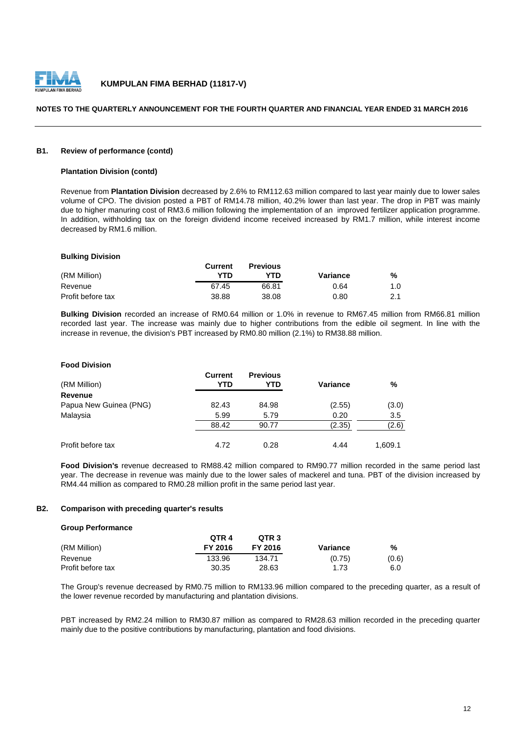

#### **NOTES TO THE QUARTERLY ANNOUNCEMENT FOR THE FOURTH QUARTER AND FINANCIAL YEAR ENDED 31 MARCH 2016**

#### **B1. Review of performance (contd)**

#### **Plantation Division (contd)**

Revenue from **Plantation Division** decreased by 2.6% to RM112.63 million compared to last year mainly due to lower sales volume of CPO. The division posted a PBT of RM14.78 million, 40.2% lower than last year. The drop in PBT was mainly due to higher manuring cost of RM3.6 million following the implementation of an improved fertilizer application programme. In addition, withholding tax on the foreign dividend income received increased by RM1.7 million, while interest income decreased by RM1.6 million.

#### **Bulking Division**

|                   | Current | <b>Previous</b> |          |     |
|-------------------|---------|-----------------|----------|-----|
| (RM Million)      | YTD     | YTD             | Variance | %   |
| Revenue           | 67.45   | 66.81           | 0.64     | 1.0 |
| Profit before tax | 38.88   | 38.08           | 0.80     | 2.1 |

**Bulking Division** recorded an increase of RM0.64 million or 1.0% in revenue to RM67.45 million from RM66.81 million recorded last year. The increase was mainly due to higher contributions from the edible oil segment. In line with the increase in revenue, the division's PBT increased by RM0.80 million (2.1%) to RM38.88 million.

#### **Food Division**

| (RM Million)           | Current<br>YTD | <b>Previous</b><br>YTD | Variance | %       |
|------------------------|----------------|------------------------|----------|---------|
| Revenue                |                |                        |          |         |
| Papua New Guinea (PNG) | 82.43          | 84.98                  | (2.55)   | (3.0)   |
| Malaysia               | 5.99           | 5.79                   | 0.20     | 3.5     |
|                        | 88.42          | 90.77                  | (2.35)   | (2.6)   |
| Profit before tax      | 4.72           | 0.28                   | 4.44     | 1.609.1 |

**Food Division's** revenue decreased to RM88.42 million compared to RM90.77 million recorded in the same period last year. The decrease in revenue was mainly due to the lower sales of mackerel and tuna. PBT of the division increased by RM4.44 million as compared to RM0.28 million profit in the same period last year.

#### **B2. Comparison with preceding quarter's results**

#### **Group Performance**

|                   | OTR <sub>4</sub> | OTR <sub>3</sub> |          |       |
|-------------------|------------------|------------------|----------|-------|
| (RM Million)      | FY 2016          | FY 2016          | Variance | %     |
| Revenue           | 133.96           | 134.71           | (0.75)   | (0.6) |
| Profit before tax | 30.35            | 28.63            | 1.73     | 6.0   |

The Group's revenue decreased by RM0.75 million to RM133.96 million compared to the preceding quarter, as a result of the lower revenue recorded by manufacturing and plantation divisions.

PBT increased by RM2.24 million to RM30.87 million as compared to RM28.63 million recorded in the preceding quarter mainly due to the positive contributions by manufacturing, plantation and food divisions.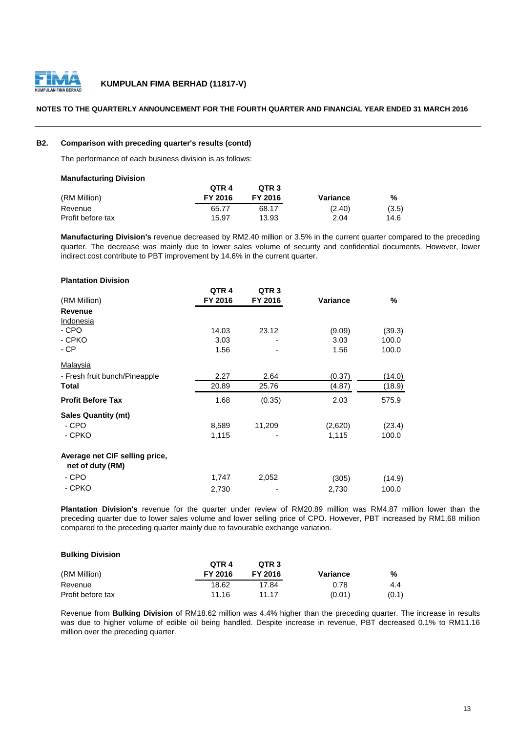

#### **NOTES TO THE QUARTERLY ANNOUNCEMENT FOR THE FOURTH QUARTER AND FINANCIAL YEAR ENDED 31 MARCH 2016**

#### **B2. Comparison with preceding quarter's results (contd)**

The performance of each business division is as follows:

| <b>Manufacturing Division</b> |         |                  |          |       |
|-------------------------------|---------|------------------|----------|-------|
|                               | OTR 4   | OTR <sub>3</sub> |          |       |
| (RM Million)                  | FY 2016 | FY 2016          | Variance | %     |
| Revenue                       | 65.77   | 68.17            | (2.40)   | (3.5) |
| Profit before tax             | 15.97   | 13.93            | 2.04     | 14.6  |

**Manufacturing Division's** revenue decreased by RM2.40 million or 3.5% in the current quarter compared to the preceding quarter. The decrease was mainly due to lower sales volume of security and confidential documents. However, lower indirect cost contribute to PBT improvement by 14.6% in the current quarter.

| <b>Plantation Division</b>                         |                  |                  |          |               |
|----------------------------------------------------|------------------|------------------|----------|---------------|
|                                                    | QTR <sub>4</sub> | QTR <sub>3</sub> |          |               |
| (RM Million)                                       | FY 2016          | FY 2016          | Variance | $\frac{9}{6}$ |
| <b>Revenue</b>                                     |                  |                  |          |               |
| Indonesia                                          |                  |                  |          |               |
| - CPO                                              | 14.03            | 23.12            | (9.09)   | (39.3)        |
| - CPKO                                             | 3.03             |                  | 3.03     | 100.0         |
| - CP                                               | 1.56             |                  | 1.56     | 100.0         |
| <b>Malaysia</b>                                    |                  |                  |          |               |
| - Fresh fruit bunch/Pineapple                      | 2.27             | 2.64             | (0.37)   | (14.0)        |
| Total                                              | 20.89            | 25.76            | (4.87)   | (18.9)        |
| <b>Profit Before Tax</b>                           | 1.68             | (0.35)           | 2.03     | 575.9         |
| <b>Sales Quantity (mt)</b>                         |                  |                  |          |               |
| - CPO                                              | 8,589            | 11,209           | (2,620)  | (23.4)        |
| - CPKO                                             | 1,115            |                  | 1,115    | 100.0         |
| Average net CIF selling price,<br>net of duty (RM) |                  |                  |          |               |
| - CPO                                              | 1,747            | 2,052            | (305)    | (14.9)        |
| - CPKO                                             | 2,730            |                  | 2,730    | 100.0         |

**Plantation Division's** revenue for the quarter under review of RM20.89 million was RM4.87 million lower than the preceding quarter due to lower sales volume and lower selling price of CPO. However, PBT increased by RM1.68 million compared to the preceding quarter mainly due to favourable exchange variation.

#### **Bulking Division**

|                   | OTR <sub>4</sub> | QTR <sub>3</sub> |          |       |
|-------------------|------------------|------------------|----------|-------|
| (RM Million)      | FY 2016          | FY 2016          | Variance | %     |
| Revenue           | 18.62            | 17.84            | 0.78     | 4.4   |
| Profit before tax | 11.16            | 11 17            | (0.01)   | (0.1) |

Revenue from **Bulking Division** of RM18.62 million was 4.4% higher than the preceding quarter. The increase in results was due to higher volume of edible oil being handled. Despite increase in revenue, PBT decreased 0.1% to RM11.16 million over the preceding quarter.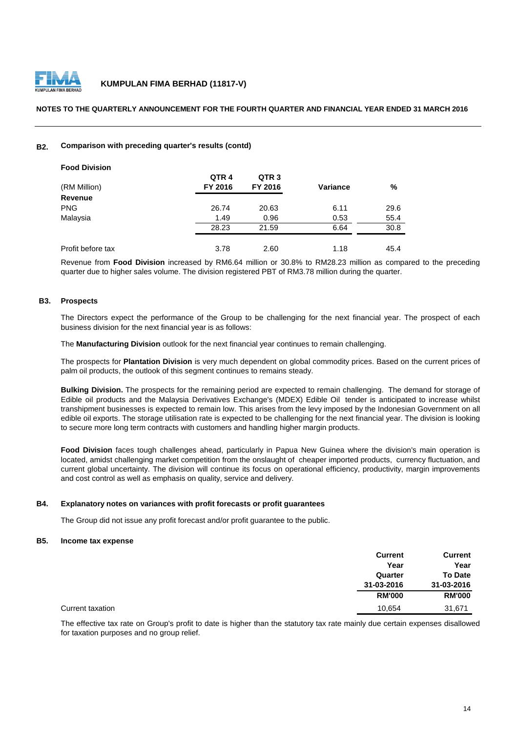

#### **NOTES TO THE QUARTERLY ANNOUNCEMENT FOR THE FOURTH QUARTER AND FINANCIAL YEAR ENDED 31 MARCH 2016**

#### **B2. Comparison with preceding quarter's results (contd)**

| <b>Food Division</b> |                  |                  |                 |      |
|----------------------|------------------|------------------|-----------------|------|
|                      | QTR <sub>4</sub> | QTR <sub>3</sub> |                 |      |
| (RM Million)         | FY 2016          | FY 2016          | <b>Variance</b> | %    |
| <b>Revenue</b>       |                  |                  |                 |      |
| <b>PNG</b>           | 26.74            | 20.63            | 6.11            | 29.6 |
| Malaysia             | 1.49             | 0.96             | 0.53            | 55.4 |
|                      | 28.23            | 21.59            | 6.64            | 30.8 |
|                      |                  |                  |                 |      |
| Profit before tax    | 3.78             | 2.60             | 1.18            | 45.4 |

Revenue from **Food Division** increased by RM6.64 million or 30.8% to RM28.23 million as compared to the preceding quarter due to higher sales volume. The division registered PBT of RM3.78 million during the quarter.

#### **B3. Prospects**

The Directors expect the performance of the Group to be challenging for the next financial year. The prospect of each business division for the next financial year is as follows:

The **Manufacturing Division** outlook for the next financial year continues to remain challenging.

The prospects for **Plantation Division** is very much dependent on global commodity prices. Based on the current prices of palm oil products, the outlook of this segment continues to remains steady.

**Bulking Division.** The prospects for the remaining period are expected to remain challenging. The demand for storage of Edible oil products and the Malaysia Derivatives Exchange's (MDEX) Edible Oil tender is anticipated to increase whilst transhipment businesses is expected to remain low. This arises from the levy imposed by the Indonesian Government on all edible oil exports. The storage utilisation rate is expected to be challenging for the next financial year. The division is looking to secure more long term contracts with customers and handling higher margin products.

**Food Division** faces tough challenges ahead, particularly in Papua New Guinea where the division's main operation is located, amidst challenging market competition from the onslaught of cheaper imported products, currency fluctuation, and current global uncertainty. The division will continue its focus on operational efficiency, productivity, margin improvements and cost control as well as emphasis on quality, service and delivery.

#### **B4. Explanatory notes on variances with profit forecasts or profit guarantees**

The Group did not issue any profit forecast and/or profit guarantee to the public.

#### **B5. Income tax expense**

|                  | <b>Current</b> | <b>Current</b> |
|------------------|----------------|----------------|
|                  | Year           | Year           |
|                  | Quarter        | <b>To Date</b> |
|                  | 31-03-2016     | 31-03-2016     |
|                  | <b>RM'000</b>  | <b>RM'000</b>  |
| Current taxation | 10,654         | 31,671         |

The effective tax rate on Group's profit to date is higher than the statutory tax rate mainly due certain expenses disallowed for taxation purposes and no group relief.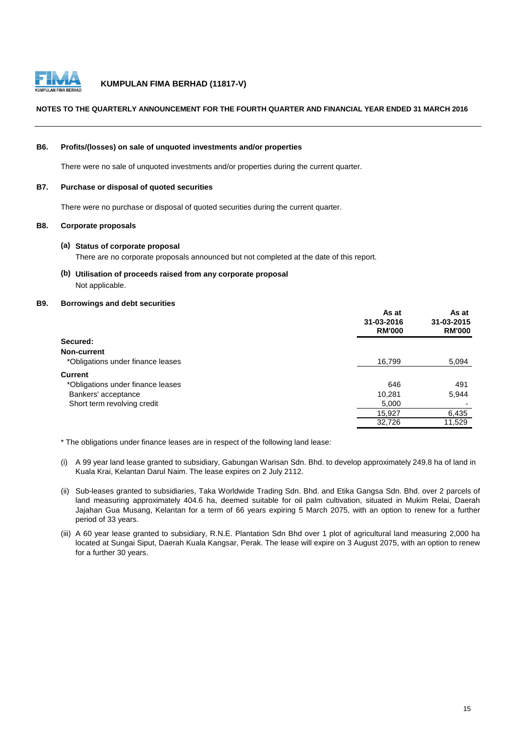

#### **NOTES TO THE QUARTERLY ANNOUNCEMENT FOR THE FOURTH QUARTER AND FINANCIAL YEAR ENDED 31 MARCH 2016**

#### **B6. Profits/(losses) on sale of unquoted investments and/or properties**

There were no sale of unquoted investments and/or properties during the current quarter.

#### **B7. Purchase or disposal of quoted securities**

There were no purchase or disposal of quoted securities during the current quarter.

#### **B8. Corporate proposals**

#### **(a) Status of corporate proposal**

There are no corporate proposals announced but not completed at the date of this report.

**(b) Utilisation of proceeds raised from any corporate proposal** Not applicable.

# **B9. Borrowings and debt securities**

|                                   | As at<br>31-03-2016<br><b>RM'000</b> | As at<br>31-03-2015<br><b>RM'000</b> |
|-----------------------------------|--------------------------------------|--------------------------------------|
| Secured:                          |                                      |                                      |
| Non-current                       |                                      |                                      |
| *Obligations under finance leases | 16,799                               | 5,094                                |
| <b>Current</b>                    |                                      |                                      |
| *Obligations under finance leases | 646                                  | 491                                  |
| Bankers' acceptance               | 10,281                               | 5,944                                |
| Short term revolving credit       | 5,000                                |                                      |
|                                   | 15,927                               | 6,435                                |
|                                   | 32,726                               | 11,529                               |

\* The obligations under finance leases are in respect of the following land lease:

- (i) A 99 year land lease granted to subsidiary, Gabungan Warisan Sdn. Bhd. to develop approximately 249.8 ha of land in Kuala Krai, Kelantan Darul Naim. The lease expires on 2 July 2112.
- (ii) Sub-leases granted to subsidiaries, Taka Worldwide Trading Sdn. Bhd. and Etika Gangsa Sdn. Bhd. over 2 parcels of land measuring approximately 404.6 ha, deemed suitable for oil palm cultivation, situated in Mukim Relai, Daerah Jajahan Gua Musang, Kelantan for a term of 66 years expiring 5 March 2075, with an option to renew for a further period of 33 years.
- (iii) A 60 year lease granted to subsidiary, R.N.E. Plantation Sdn Bhd over 1 plot of agricultural land measuring 2,000 ha located at Sungai Siput, Daerah Kuala Kangsar, Perak. The lease will expire on 3 August 2075, with an option to renew for a further 30 years.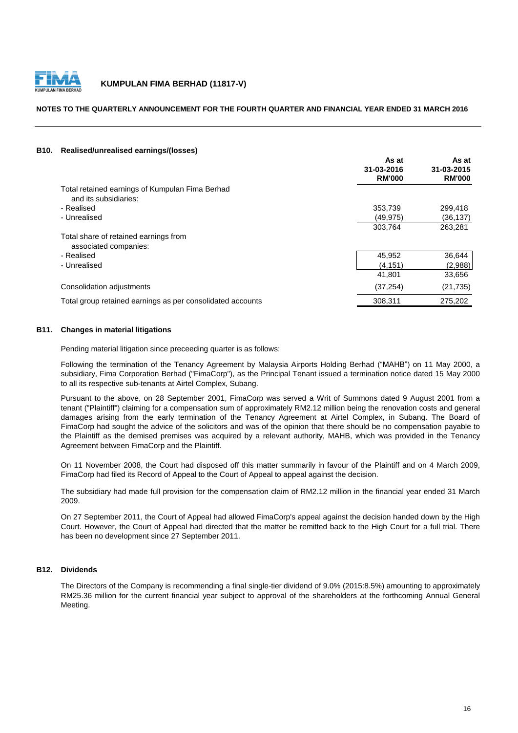

#### **NOTES TO THE QUARTERLY ANNOUNCEMENT FOR THE FOURTH QUARTER AND FINANCIAL YEAR ENDED 31 MARCH 2016**

#### **B10. Realised/unrealised earnings/(losses)**

|                                                                          | As at<br>31-03-2016<br><b>RM'000</b> | As at<br>31-03-2015<br><b>RM'000</b> |
|--------------------------------------------------------------------------|--------------------------------------|--------------------------------------|
| Total retained earnings of Kumpulan Fima Berhad<br>and its subsidiaries: |                                      |                                      |
| - Realised                                                               | 353,739                              | 299,418                              |
| - Unrealised                                                             | (49, 975)                            | (36, 137)                            |
|                                                                          | 303,764                              | 263,281                              |
| Total share of retained earnings from<br>associated companies:           |                                      |                                      |
| - Realised                                                               | 45,952                               | 36,644                               |
| - Unrealised                                                             | (4, 151)                             | (2,988)                              |
|                                                                          | 41,801                               | 33,656                               |
| Consolidation adjustments                                                | (37, 254)                            | (21, 735)                            |
| Total group retained earnings as per consolidated accounts               | 308.311                              | 275,202                              |

#### **B11. Changes in material litigations**

Pending material litigation since preceeding quarter is as follows:

Following the termination of the Tenancy Agreement by Malaysia Airports Holding Berhad ("MAHB") on 11 May 2000, a subsidiary, Fima Corporation Berhad ("FimaCorp"), as the Principal Tenant issued a termination notice dated 15 May 2000 to all its respective sub-tenants at Airtel Complex, Subang.

Pursuant to the above, on 28 September 2001, FimaCorp was served a Writ of Summons dated 9 August 2001 from a tenant ("Plaintiff") claiming for a compensation sum of approximately RM2.12 million being the renovation costs and general damages arising from the early termination of the Tenancy Agreement at Airtel Complex, in Subang. The Board of FimaCorp had sought the advice of the solicitors and was of the opinion that there should be no compensation payable to the Plaintiff as the demised premises was acquired by a relevant authority, MAHB, which was provided in the Tenancy Agreement between FimaCorp and the Plaintiff.

On 11 November 2008, the Court had disposed off this matter summarily in favour of the Plaintiff and on 4 March 2009, FimaCorp had filed its Record of Appeal to the Court of Appeal to appeal against the decision.

The subsidiary had made full provision for the compensation claim of RM2.12 million in the financial year ended 31 March 2009.

On 27 September 2011, the Court of Appeal had allowed FimaCorp's appeal against the decision handed down by the High Court. However, the Court of Appeal had directed that the matter be remitted back to the High Court for a full trial. There has been no development since 27 September 2011.

#### **B12. Dividends**

The Directors of the Company is recommending a final single-tier dividend of 9.0% (2015:8.5%) amounting to approximately RM25.36 million for the current financial year subject to approval of the shareholders at the forthcoming Annual General Meeting.